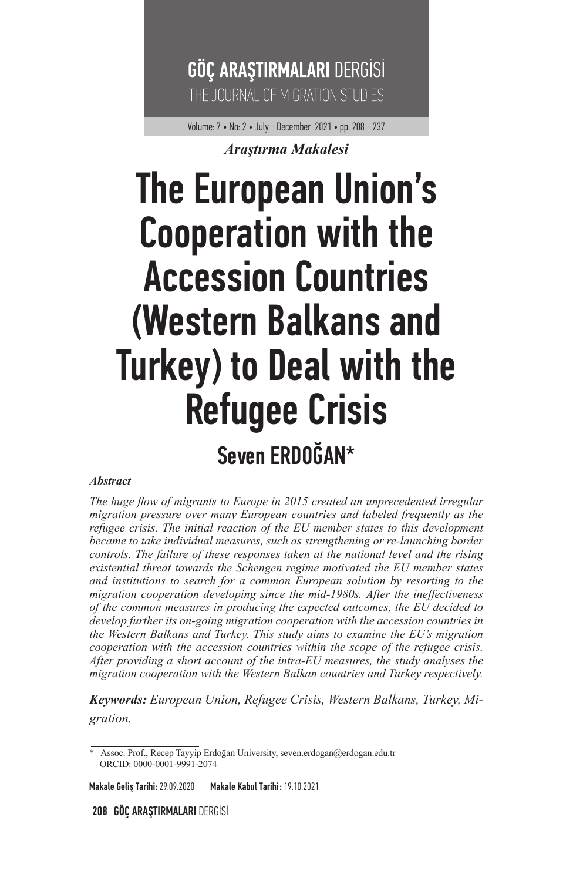

Volume: 7 • No: 2 • July - December 2021 • pp. 208 - 237

#### *Araştırma Makalesi*

## The European Union's Cooperation with the Accession Countries (Western Balkans and Turkey) to Deal with the Refugee Crisis Seven ERDOĞAN\*

#### *Abstract*

*The huge flow of migrants to Europe in 2015 created an unprecedented irregular migration pressure over many European countries and labeled frequently as the refugee crisis. The initial reaction of the EU member states to this development became to take individual measures, such as strengthening or re-launching border controls. The failure of these responses taken at the national level and the rising existential threat towards the Schengen regime motivated the EU member states and institutions to search for a common European solution by resorting to the migration cooperation developing since the mid-1980s. After the ineffectiveness of the common measures in producing the expected outcomes, the EU decided to develop further its on-going migration cooperation with the accession countries in the Western Balkans and Turkey. This study aims to examine the EU's migration cooperation with the accession countries within the scope of the refugee crisis. After providing a short account of the intra-EU measures, the study analyses the migration cooperation with the Western Balkan countries and Turkey respectively.* 

*Keywords: European Union, Refugee Crisis, Western Balkans, Turkey, Migration.* 

Makale Geliş Tarihi: 29.09.2020 Makale Kabul Tarihi : 19.10.2021

208 GÖÇ ARAŞTIRMALARI DERGİSİ

<sup>\*</sup> Assoc. Prof., Recep Tayyip Erdoğan University, seven.erdogan@erdogan.edu.tr ORCID: 0000-0001-9991-2074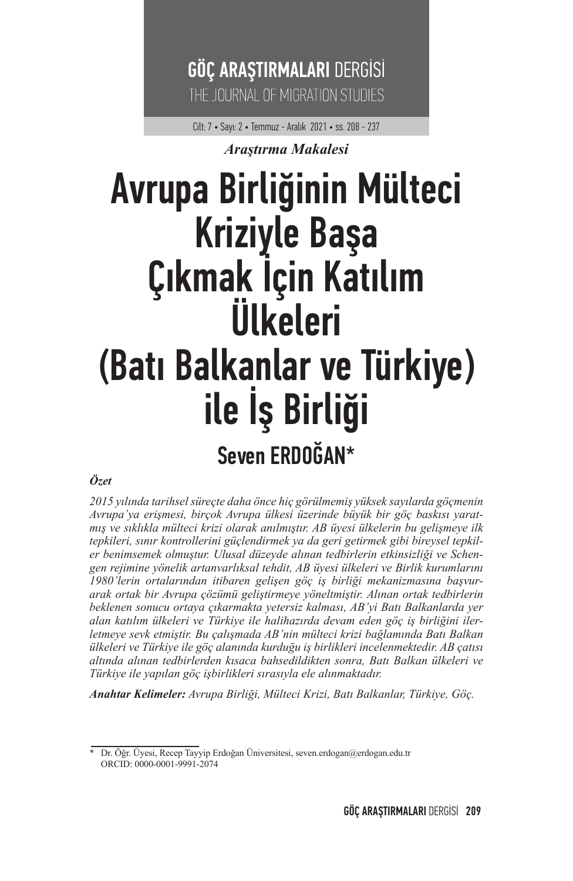### GÖÇ ARAŞTIRMALARI DERGİSİ THE JOURNAL OF MIGRATION STUDIES

Cilt: 7 • Sayı: 2 • Temmuz - Aralık 2021 • ss. 208 - 237

#### *Araştırma Makalesi*

# Avrupa Birliğinin Mülteci Kriziyle Başa<br>Çıkmak İçin Katılım<br>Ülkeleri (Batı Balkanlar ve Türkiye)<br>ile İş Birliği Seven ERDOĞAN\*

#### *Özet*

*2015 yılında tarihsel süreçte daha önce hiç görülmemiş yüksek sayılarda göçmenin Avrupa'ya erişmesi, birçok Avrupa ülkesi üzerinde büyük bir göç baskısı yaratmış ve sıklıkla mülteci krizi olarak anılmıştır. AB üyesi ülkelerin bu gelişmeye ilk tepkileri, sınır kontrollerini güçlendirmek ya da geri getirmek gibi bireysel tepkiler benimsemek olmuştur. Ulusal düzeyde alınan tedbirlerin etkinsizliği ve Schengen rejimine yönelik artanvarlıksal tehdit, AB üyesi ülkeleri ve Birlik kurumlarını 1980'lerin ortalarından itibaren gelişen göç iş birliği mekanizmasına başvurarak ortak bir Avrupa çözümü geliştirmeye yöneltmiştir. Alınan ortak tedbirlerin beklenen sonucu ortaya çıkarmakta yetersiz kalması, AB'yi Batı Balkanlarda yer alan katılım ülkeleri ve Türkiye ile halihazırda devam eden göç iş birliğini ilerletmeye sevk etmiştir. Bu çalışmada AB'nin mülteci krizi bağlamında Batı Balkan ülkeleri ve Türkiye ile göç alanında kurduğu iş birlikleri incelenmektedir. AB çatısı altında alınan tedbirlerden kısaca bahsedildikten sonra, Batı Balkan ülkeleri ve Türkiye ile yapılan göç işbirlikleri sırasıyla ele alınmaktadır.* 

*Anahtar Kelimeler: Avrupa Birliği, Mülteci Krizi, Batı Balkanlar, Türkiye, Göç.* 

<sup>\*</sup> Dr. Öğr. Üyesi, Recep Tayyip Erdoğan Üniversitesi, seven.erdogan@erdogan.edu.tr ORCID: 0000-0001-9991-2074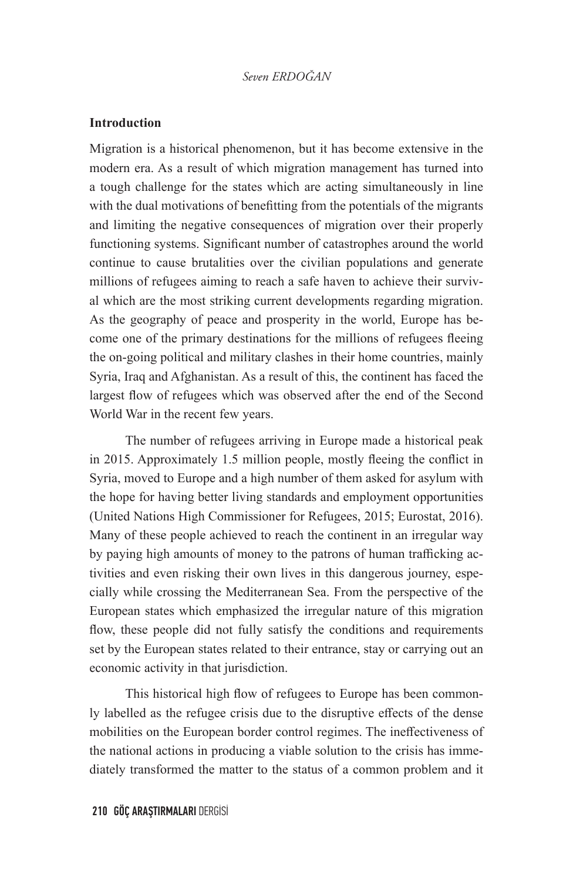#### **Introduction**

Migration is a historical phenomenon, but it has become extensive in the modern era. As a result of which migration management has turned into a tough challenge for the states which are acting simultaneously in line with the dual motivations of benefitting from the potentials of the migrants and limiting the negative consequences of migration over their properly functioning systems. Significant number of catastrophes around the world continue to cause brutalities over the civilian populations and generate millions of refugees aiming to reach a safe haven to achieve their survival which are the most striking current developments regarding migration. As the geography of peace and prosperity in the world, Europe has become one of the primary destinations for the millions of refugees fleeing the on-going political and military clashes in their home countries, mainly Syria, Iraq and Afghanistan. As a result of this, the continent has faced the largest flow of refugees which was observed after the end of the Second World War in the recent few years.

The number of refugees arriving in Europe made a historical peak in 2015. Approximately 1.5 million people, mostly fleeing the conflict in Syria, moved to Europe and a high number of them asked for asylum with the hope for having better living standards and employment opportunities (United Nations High Commissioner for Refugees, 2015; Eurostat, 2016). Many of these people achieved to reach the continent in an irregular way by paying high amounts of money to the patrons of human trafficking activities and even risking their own lives in this dangerous journey, especially while crossing the Mediterranean Sea. From the perspective of the European states which emphasized the irregular nature of this migration flow, these people did not fully satisfy the conditions and requirements set by the European states related to their entrance, stay or carrying out an economic activity in that jurisdiction.

This historical high flow of refugees to Europe has been commonly labelled as the refugee crisis due to the disruptive effects of the dense mobilities on the European border control regimes. The ineffectiveness of the national actions in producing a viable solution to the crisis has immediately transformed the matter to the status of a common problem and it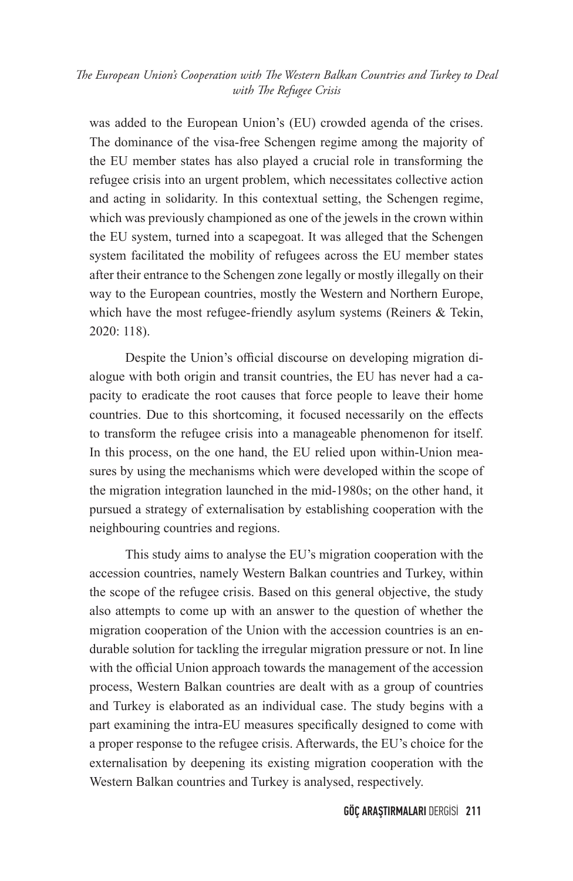was added to the European Union's (EU) crowded agenda of the crises. The dominance of the visa-free Schengen regime among the majority of the EU member states has also played a crucial role in transforming the refugee crisis into an urgent problem, which necessitates collective action and acting in solidarity. In this contextual setting, the Schengen regime, which was previously championed as one of the jewels in the crown within the EU system, turned into a scapegoat. It was alleged that the Schengen system facilitated the mobility of refugees across the EU member states after their entrance to the Schengen zone legally or mostly illegally on their way to the European countries, mostly the Western and Northern Europe, which have the most refugee-friendly asylum systems (Reiners & Tekin, 2020: 118).

Despite the Union's official discourse on developing migration dialogue with both origin and transit countries, the EU has never had a capacity to eradicate the root causes that force people to leave their home countries. Due to this shortcoming, it focused necessarily on the effects to transform the refugee crisis into a manageable phenomenon for itself. In this process, on the one hand, the EU relied upon within-Union measures by using the mechanisms which were developed within the scope of the migration integration launched in the mid-1980s; on the other hand, it pursued a strategy of externalisation by establishing cooperation with the neighbouring countries and regions.

This study aims to analyse the EU's migration cooperation with the accession countries, namely Western Balkan countries and Turkey, within the scope of the refugee crisis. Based on this general objective, the study also attempts to come up with an answer to the question of whether the migration cooperation of the Union with the accession countries is an endurable solution for tackling the irregular migration pressure or not. In line with the official Union approach towards the management of the accession process, Western Balkan countries are dealt with as a group of countries and Turkey is elaborated as an individual case. The study begins with a part examining the intra-EU measures specifically designed to come with a proper response to the refugee crisis. Afterwards, the EU's choice for the externalisation by deepening its existing migration cooperation with the Western Balkan countries and Turkey is analysed, respectively.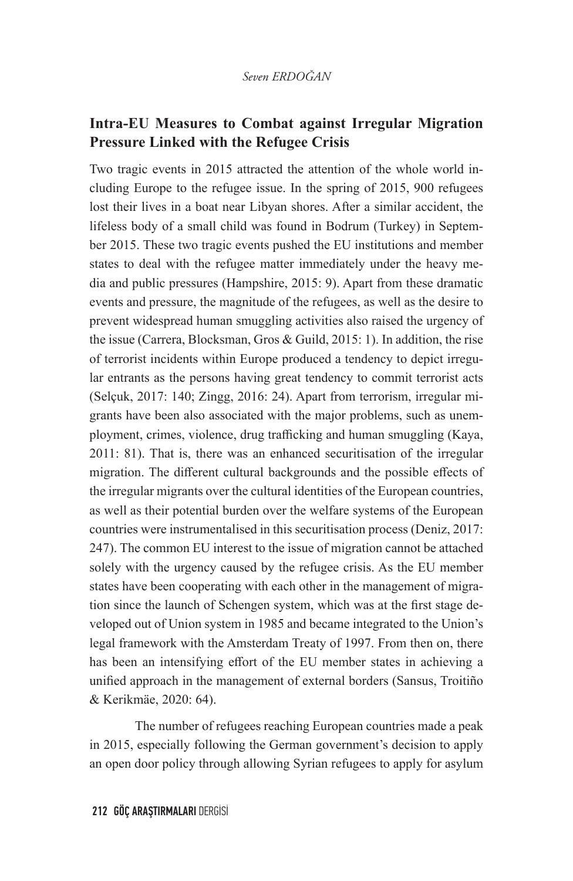#### **Intra-EU Measures to Combat against Irregular Migration Pressure Linked with the Refugee Crisis**

Two tragic events in 2015 attracted the attention of the whole world including Europe to the refugee issue. In the spring of 2015, 900 refugees lost their lives in a boat near Libyan shores. After a similar accident, the lifeless body of a small child was found in Bodrum (Turkey) in September 2015. These two tragic events pushed the EU institutions and member states to deal with the refugee matter immediately under the heavy media and public pressures (Hampshire, 2015: 9). Apart from these dramatic events and pressure, the magnitude of the refugees, as well as the desire to prevent widespread human smuggling activities also raised the urgency of the issue (Carrera, Blocksman, Gros & Guild, 2015: 1). In addition, the rise of terrorist incidents within Europe produced a tendency to depict irregular entrants as the persons having great tendency to commit terrorist acts (Selçuk, 2017: 140; Zingg, 2016: 24). Apart from terrorism, irregular migrants have been also associated with the major problems, such as unemployment, crimes, violence, drug trafficking and human smuggling (Kaya, 2011: 81). That is, there was an enhanced securitisation of the irregular migration. The different cultural backgrounds and the possible effects of the irregular migrants over the cultural identities of the European countries, as well as their potential burden over the welfare systems of the European countries were instrumentalised in this securitisation process (Deniz, 2017: 247). The common EU interest to the issue of migration cannot be attached solely with the urgency caused by the refugee crisis. As the EU member states have been cooperating with each other in the management of migration since the launch of Schengen system, which was at the first stage developed out of Union system in 1985 and became integrated to the Union's legal framework with the Amsterdam Treaty of 1997. From then on, there has been an intensifying effort of the EU member states in achieving a unified approach in the management of external borders (Sansus, Troitiño & Kerikmäe, 2020: 64).

The number of refugees reaching European countries made a peak in 2015, especially following the German government's decision to apply an open door policy through allowing Syrian refugees to apply for asylum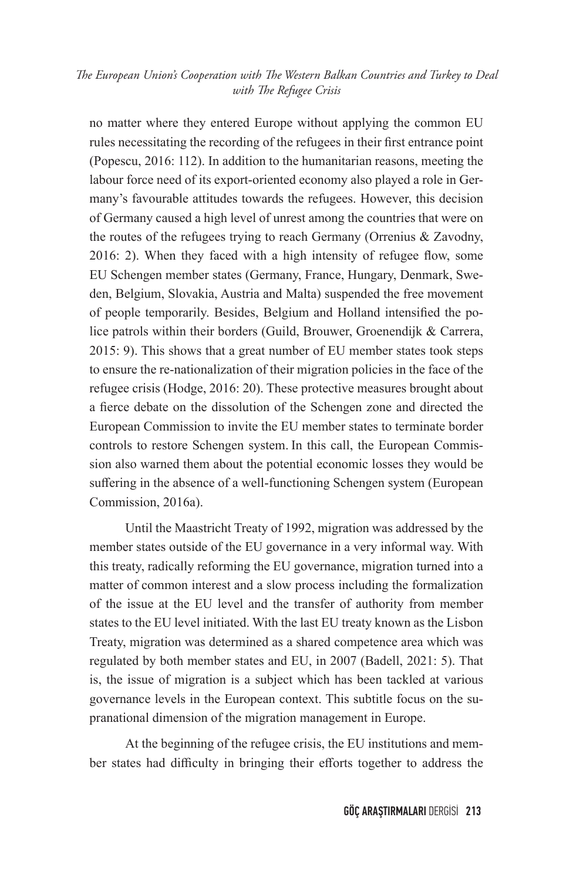no matter where they entered Europe without applying the common EU rules necessitating the recording of the refugees in their first entrance point (Popescu, 2016: 112). In addition to the humanitarian reasons, meeting the labour force need of its export-oriented economy also played a role in Germany's favourable attitudes towards the refugees. However, this decision of Germany caused a high level of unrest among the countries that were on the routes of the refugees trying to reach Germany (Orrenius & Zavodny, 2016: 2). When they faced with a high intensity of refugee flow, some EU Schengen member states (Germany, France, Hungary, Denmark, Sweden, Belgium, Slovakia, Austria and Malta) suspended the free movement of people temporarily. Besides, Belgium and Holland intensified the police patrols within their borders (Guild, Brouwer, Groenendijk & Carrera, 2015: 9). This shows that a great number of EU member states took steps to ensure the re-nationalization of their migration policies in the face of the refugee crisis (Hodge, 2016: 20). These protective measures brought about a fierce debate on the dissolution of the Schengen zone and directed the European Commission to invite the EU member states to terminate border controls to restore Schengen system. In this call, the European Commission also warned them about the potential economic losses they would be suffering in the absence of a well-functioning Schengen system (European Commission, 2016a).

Until the Maastricht Treaty of 1992, migration was addressed by the member states outside of the EU governance in a very informal way. With this treaty, radically reforming the EU governance, migration turned into a matter of common interest and a slow process including the formalization of the issue at the EU level and the transfer of authority from member states to the EU level initiated. With the last EU treaty known as the Lisbon Treaty, migration was determined as a shared competence area which was regulated by both member states and EU, in 2007 (Badell, 2021: 5). That is, the issue of migration is a subject which has been tackled at various governance levels in the European context. This subtitle focus on the supranational dimension of the migration management in Europe.

At the beginning of the refugee crisis, the EU institutions and member states had difficulty in bringing their efforts together to address the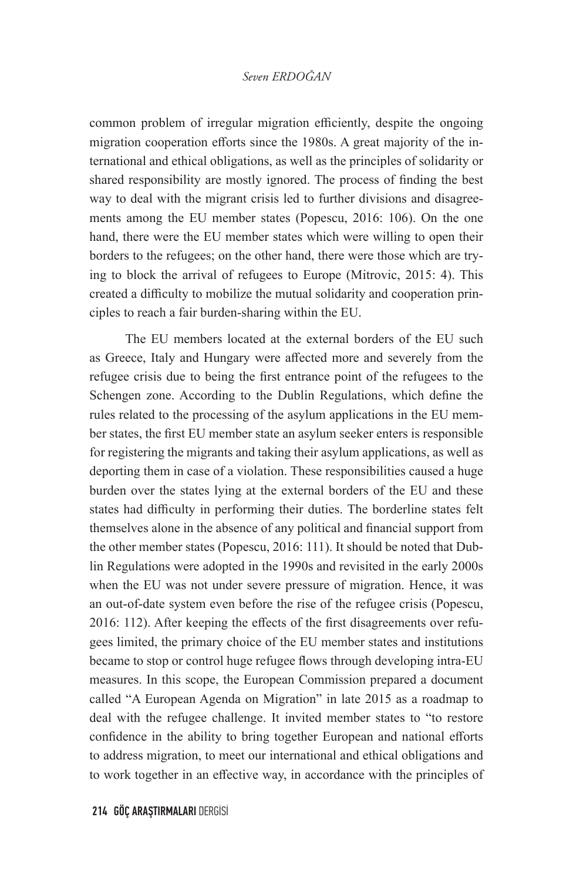common problem of irregular migration efficiently, despite the ongoing migration cooperation efforts since the 1980s. A great majority of the international and ethical obligations, as well as the principles of solidarity or shared responsibility are mostly ignored. The process of finding the best way to deal with the migrant crisis led to further divisions and disagreements among the EU member states (Popescu, 2016: 106). On the one hand, there were the EU member states which were willing to open their borders to the refugees; on the other hand, there were those which are trying to block the arrival of refugees to Europe (Mitrovic, 2015: 4). This created a difficulty to mobilize the mutual solidarity and cooperation principles to reach a fair burden-sharing within the EU.

The EU members located at the external borders of the EU such as Greece, Italy and Hungary were affected more and severely from the refugee crisis due to being the first entrance point of the refugees to the Schengen zone. According to the Dublin Regulations, which define the rules related to the processing of the asylum applications in the EU member states, the first EU member state an asylum seeker enters is responsible for registering the migrants and taking their asylum applications, as well as deporting them in case of a violation. These responsibilities caused a huge burden over the states lying at the external borders of the EU and these states had difficulty in performing their duties. The borderline states felt themselves alone in the absence of any political and financial support from the other member states (Popescu, 2016: 111). It should be noted that Dublin Regulations were adopted in the 1990s and revisited in the early 2000s when the EU was not under severe pressure of migration. Hence, it was an out-of-date system even before the rise of the refugee crisis (Popescu, 2016: 112). After keeping the effects of the first disagreements over refugees limited, the primary choice of the EU member states and institutions became to stop or control huge refugee flows through developing intra-EU measures. In this scope, the European Commission prepared a document called "A European Agenda on Migration" in late 2015 as a roadmap to deal with the refugee challenge. It invited member states to "to restore confidence in the ability to bring together European and national efforts to address migration, to meet our international and ethical obligations and to work together in an effective way, in accordance with the principles of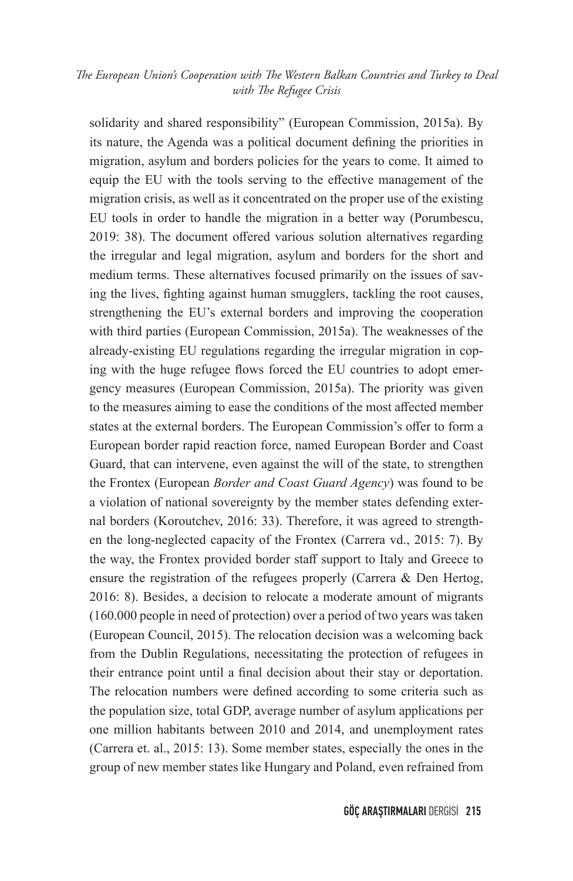solidarity and shared responsibility" (European Commission, 2015a). By its nature, the Agenda was a political document defining the priorities in migration, asylum and borders policies for the years to come. It aimed to equip the EU with the tools serving to the effective management of the migration crisis, as well as it concentrated on the proper use of the existing EU tools in order to handle the migration in a better way (Porumbescu, 2019: 38). The document offered various solution alternatives regarding the irregular and legal migration, asylum and borders for the short and medium terms. These alternatives focused primarily on the issues of saving the lives, fighting against human smugglers, tackling the root causes, strengthening the EU's external borders and improving the cooperation with third parties (European Commission, 2015a). The weaknesses of the already-existing EU regulations regarding the irregular migration in coping with the huge refugee flows forced the EU countries to adopt emergency measures (European Commission, 2015a). The priority was given to the measures aiming to ease the conditions of the most affected member states at the external borders. The European Commission's offer to form a European border rapid reaction force, named European Border and Coast Guard, that can intervene, even against the will of the state, to strengthen the Frontex (European *Border and Coast Guard Agency*) was found to be a violation of national sovereignty by the member states defending external borders (Koroutchev, 2016: 33). Therefore, it was agreed to strengthen the long-neglected capacity of the Frontex (Carrera vd., 2015: 7). By the way, the Frontex provided border staff support to Italy and Greece to ensure the registration of the refugees properly (Carrera & Den Hertog, 2016: 8). Besides, a decision to relocate a moderate amount of migrants (160.000 people in need of protection) over a period of two years was taken (European Council, 2015). The relocation decision was a welcoming back from the Dublin Regulations, necessitating the protection of refugees in their entrance point until a final decision about their stay or deportation. The relocation numbers were defined according to some criteria such as the population size, total GDP, average number of asylum applications per one million habitants between 2010 and 2014, and unemployment rates (Carrera et. al., 2015: 13). Some member states, especially the ones in the group of new member states like Hungary and Poland, even refrained from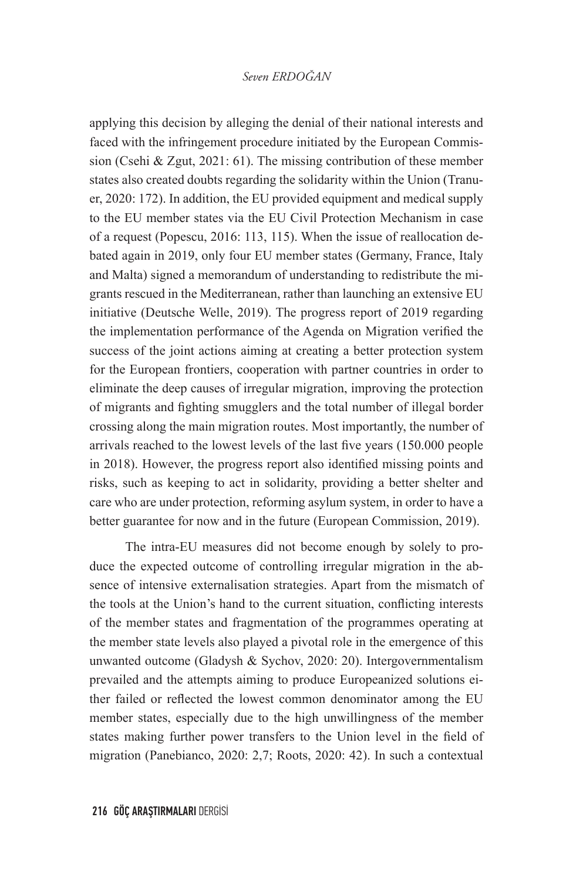applying this decision by alleging the denial of their national interests and faced with the infringement procedure initiated by the European Commission (Csehi & Zgut, 2021: 61). The missing contribution of these member states also created doubts regarding the solidarity within the Union (Tranuer, 2020: 172). In addition, the EU provided equipment and medical supply to the EU member states via the EU Civil Protection Mechanism in case of a request (Popescu, 2016: 113, 115). When the issue of reallocation debated again in 2019, only four EU member states (Germany, France, Italy and Malta) signed a memorandum of understanding to redistribute the migrants rescued in the Mediterranean, rather than launching an extensive EU initiative (Deutsche Welle, 2019). The progress report of 2019 regarding the implementation performance of the Agenda on Migration verified the success of the joint actions aiming at creating a better protection system for the European frontiers, cooperation with partner countries in order to eliminate the deep causes of irregular migration, improving the protection of migrants and fighting smugglers and the total number of illegal border crossing along the main migration routes. Most importantly, the number of arrivals reached to the lowest levels of the last five years (150.000 people in 2018). However, the progress report also identified missing points and risks, such as keeping to act in solidarity, providing a better shelter and care who are under protection, reforming asylum system, in order to have a better guarantee for now and in the future (European Commission, 2019).

The intra-EU measures did not become enough by solely to produce the expected outcome of controlling irregular migration in the absence of intensive externalisation strategies. Apart from the mismatch of the tools at the Union's hand to the current situation, conflicting interests of the member states and fragmentation of the programmes operating at the member state levels also played a pivotal role in the emergence of this unwanted outcome (Gladysh & Sychov, 2020: 20). Intergovernmentalism prevailed and the attempts aiming to produce Europeanized solutions either failed or reflected the lowest common denominator among the EU member states, especially due to the high unwillingness of the member states making further power transfers to the Union level in the field of migration (Panebianco, 2020: 2,7; Roots, 2020: 42). In such a contextual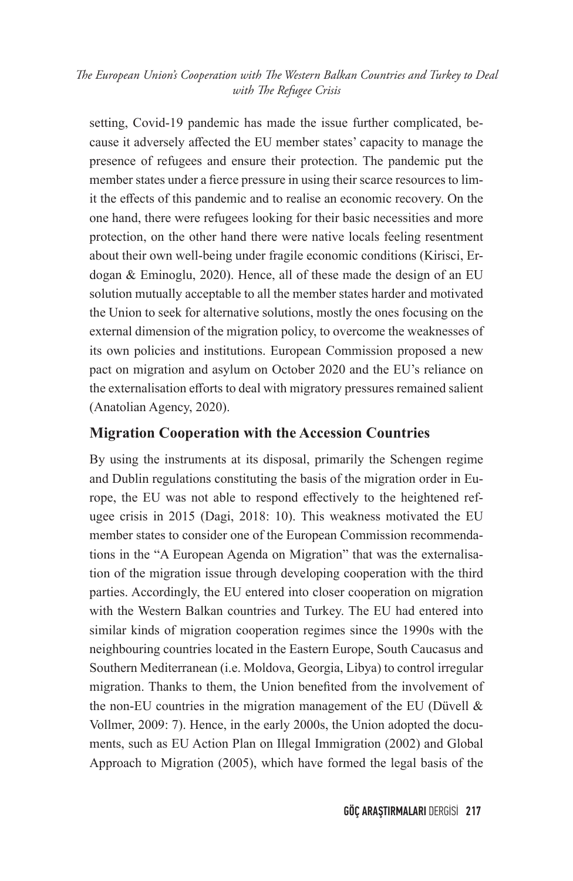setting, Covid-19 pandemic has made the issue further complicated, because it adversely affected the EU member states' capacity to manage the presence of refugees and ensure their protection. The pandemic put the member states under a fierce pressure in using their scarce resources to limit the effects of this pandemic and to realise an economic recovery. On the one hand, there were refugees looking for their basic necessities and more protection, on the other hand there were native locals feeling resentment about their own well-being under fragile economic conditions (Kirisci, Erdogan & Eminoglu, 2020). Hence, all of these made the design of an EU solution mutually acceptable to all the member states harder and motivated the Union to seek for alternative solutions, mostly the ones focusing on the external dimension of the migration policy, to overcome the weaknesses of its own policies and institutions. European Commission proposed a new pact on migration and asylum on October 2020 and the EU's reliance on the externalisation efforts to deal with migratory pressures remained salient (Anatolian Agency, 2020).

#### **Migration Cooperation with the Accession Countries**

By using the instruments at its disposal, primarily the Schengen regime and Dublin regulations constituting the basis of the migration order in Europe, the EU was not able to respond effectively to the heightened refugee crisis in 2015 (Dagi, 2018: 10). This weakness motivated the EU member states to consider one of the European Commission recommendations in the "A European Agenda on Migration" that was the externalisation of the migration issue through developing cooperation with the third parties. Accordingly, the EU entered into closer cooperation on migration with the Western Balkan countries and Turkey. The EU had entered into similar kinds of migration cooperation regimes since the 1990s with the neighbouring countries located in the Eastern Europe, South Caucasus and Southern Mediterranean (i.e. Moldova, Georgia, Libya) to control irregular migration. Thanks to them, the Union benefited from the involvement of the non-EU countries in the migration management of the EU (Düvell  $\&$ Vollmer, 2009: 7). Hence, in the early 2000s, the Union adopted the documents, such as EU Action Plan on Illegal Immigration (2002) and Global Approach to Migration (2005), which have formed the legal basis of the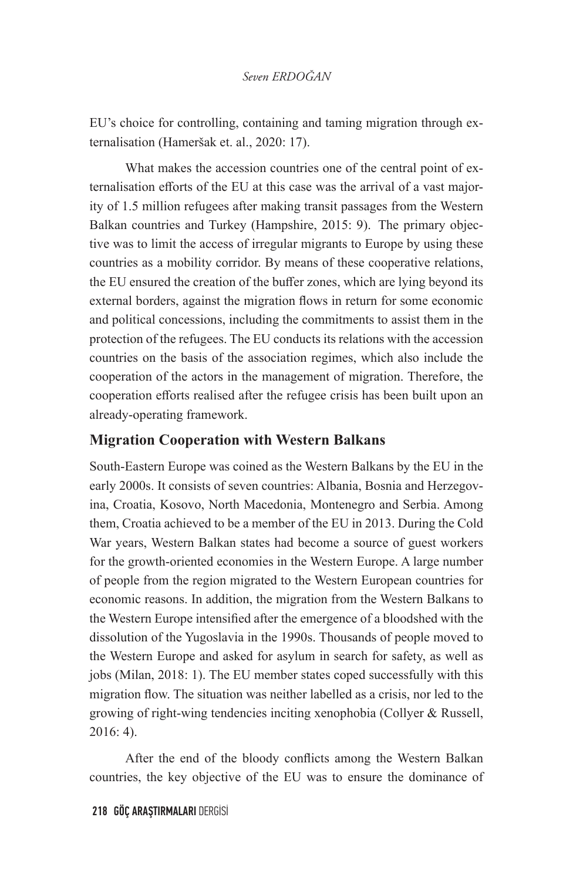EU's choice for controlling, containing and taming migration through externalisation (Hameršak et. al., 2020: 17).

What makes the accession countries one of the central point of externalisation efforts of the EU at this case was the arrival of a vast majority of 1.5 million refugees after making transit passages from the Western Balkan countries and Turkey (Hampshire, 2015: 9). The primary objective was to limit the access of irregular migrants to Europe by using these countries as a mobility corridor. By means of these cooperative relations, the EU ensured the creation of the buffer zones, which are lying beyond its external borders, against the migration flows in return for some economic and political concessions, including the commitments to assist them in the protection of the refugees. The EU conducts its relations with the accession countries on the basis of the association regimes, which also include the cooperation of the actors in the management of migration. Therefore, the cooperation efforts realised after the refugee crisis has been built upon an already-operating framework.

#### **Migration Cooperation with Western Balkans**

South-Eastern Europe was coined as the Western Balkans by the EU in the early 2000s. It consists of seven countries: Albania, Bosnia and Herzegovina, Croatia, Kosovo, North Macedonia, Montenegro and Serbia. Among them, Croatia achieved to be a member of the EU in 2013. During the Cold War years, Western Balkan states had become a source of guest workers for the growth-oriented economies in the Western Europe. A large number of people from the region migrated to the Western European countries for economic reasons. In addition, the migration from the Western Balkans to the Western Europe intensified after the emergence of a bloodshed with the dissolution of the Yugoslavia in the 1990s. Thousands of people moved to the Western Europe and asked for asylum in search for safety, as well as jobs (Milan, 2018: 1). The EU member states coped successfully with this migration flow. The situation was neither labelled as a crisis, nor led to the growing of right-wing tendencies inciting xenophobia (Collyer & Russell, 2016: 4).

After the end of the bloody conflicts among the Western Balkan countries, the key objective of the EU was to ensure the dominance of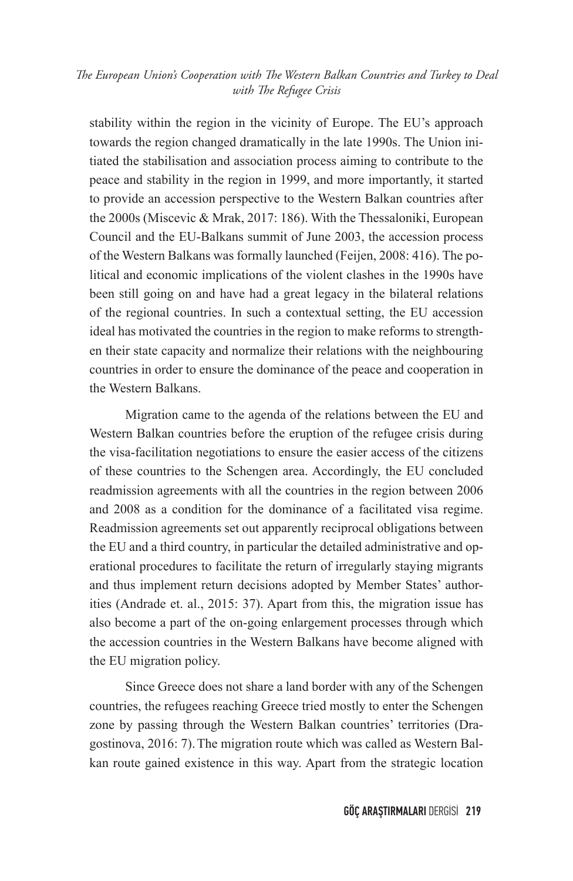stability within the region in the vicinity of Europe. The EU's approach towards the region changed dramatically in the late 1990s. The Union initiated the stabilisation and association process aiming to contribute to the peace and stability in the region in 1999, and more importantly, it started to provide an accession perspective to the Western Balkan countries after the 2000s (Miscevic & Mrak, 2017: 186). With the Thessaloniki, European Council and the EU-Balkans summit of June 2003, the accession process of the Western Balkans was formally launched (Feijen, 2008: 416). The political and economic implications of the violent clashes in the 1990s have been still going on and have had a great legacy in the bilateral relations of the regional countries. In such a contextual setting, the EU accession ideal has motivated the countries in the region to make reforms to strengthen their state capacity and normalize their relations with the neighbouring countries in order to ensure the dominance of the peace and cooperation in the Western Balkans.

Migration came to the agenda of the relations between the EU and Western Balkan countries before the eruption of the refugee crisis during the visa-facilitation negotiations to ensure the easier access of the citizens of these countries to the Schengen area. Accordingly, the EU concluded readmission agreements with all the countries in the region between 2006 and 2008 as a condition for the dominance of a facilitated visa regime. Readmission agreements set out apparently reciprocal obligations between the EU and a third country, in particular the detailed administrative and operational procedures to facilitate the return of irregularly staying migrants and thus implement return decisions adopted by Member States' authorities (Andrade et. al., 2015: 37). Apart from this, the migration issue has also become a part of the on-going enlargement processes through which the accession countries in the Western Balkans have become aligned with the EU migration policy.

Since Greece does not share a land border with any of the Schengen countries, the refugees reaching Greece tried mostly to enter the Schengen zone by passing through the Western Balkan countries' territories (Dragostinova, 2016: 7).The migration route which was called as Western Balkan route gained existence in this way. Apart from the strategic location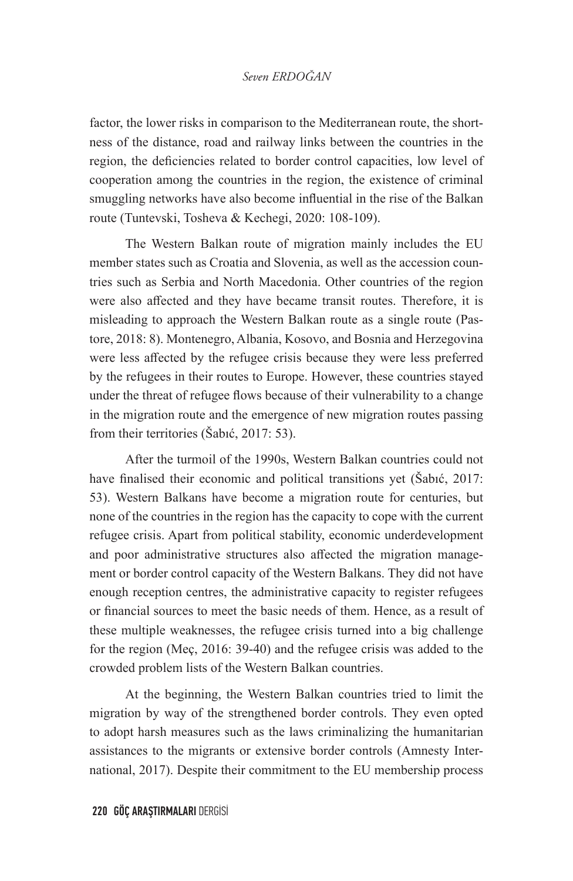factor, the lower risks in comparison to the Mediterranean route, the shortness of the distance, road and railway links between the countries in the region, the deficiencies related to border control capacities, low level of cooperation among the countries in the region, the existence of criminal smuggling networks have also become influential in the rise of the Balkan route (Tuntevski, Tosheva & Kechegi, 2020: 108-109).

The Western Balkan route of migration mainly includes the EU member states such as Croatia and Slovenia, as well as the accession countries such as Serbia and North Macedonia. Other countries of the region were also affected and they have became transit routes. Therefore, it is misleading to approach the Western Balkan route as a single route (Pastore, 2018: 8). Montenegro, Albania, Kosovo, and Bosnia and Herzegovina were less affected by the refugee crisis because they were less preferred by the refugees in their routes to Europe. However, these countries stayed under the threat of refugee flows because of their vulnerability to a change in the migration route and the emergence of new migration routes passing from their territories (Šabıć, 2017: 53).

After the turmoil of the 1990s, Western Balkan countries could not have finalised their economic and political transitions yet (Šabıć, 2017: 53). Western Balkans have become a migration route for centuries, but none of the countries in the region has the capacity to cope with the current refugee crisis. Apart from political stability, economic underdevelopment and poor administrative structures also affected the migration management or border control capacity of the Western Balkans. They did not have enough reception centres, the administrative capacity to register refugees or financial sources to meet the basic needs of them. Hence, as a result of these multiple weaknesses, the refugee crisis turned into a big challenge for the region (Meç, 2016: 39-40) and the refugee crisis was added to the crowded problem lists of the Western Balkan countries.

At the beginning, the Western Balkan countries tried to limit the migration by way of the strengthened border controls. They even opted to adopt harsh measures such as the laws criminalizing the humanitarian assistances to the migrants or extensive border controls (Amnesty International, 2017). Despite their commitment to the EU membership process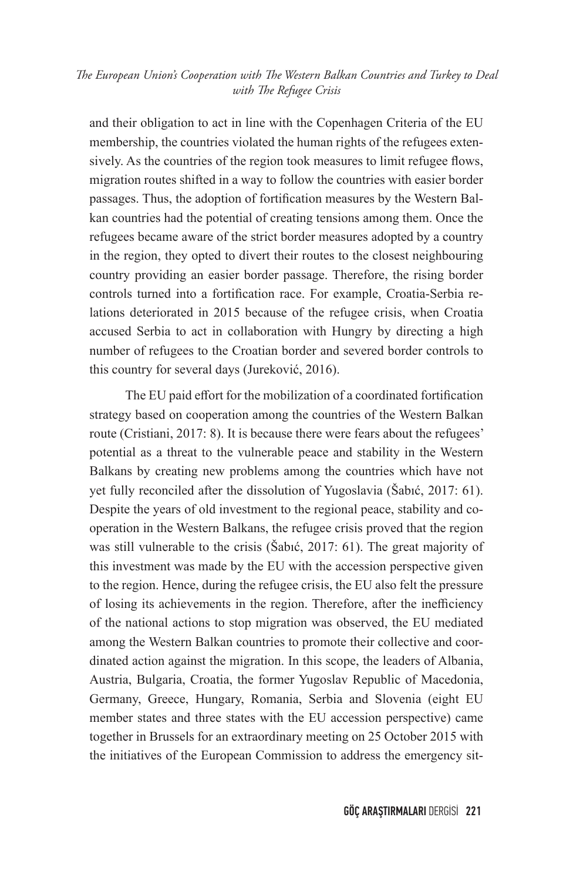and their obligation to act in line with the Copenhagen Criteria of the EU membership, the countries violated the human rights of the refugees extensively. As the countries of the region took measures to limit refugee flows, migration routes shifted in a way to follow the countries with easier border passages. Thus, the adoption of fortification measures by the Western Balkan countries had the potential of creating tensions among them. Once the refugees became aware of the strict border measures adopted by a country in the region, they opted to divert their routes to the closest neighbouring country providing an easier border passage. Therefore, the rising border controls turned into a fortification race. For example, Croatia-Serbia relations deteriorated in 2015 because of the refugee crisis, when Croatia accused Serbia to act in collaboration with Hungry by directing a high number of refugees to the Croatian border and severed border controls to this country for several days (Jureković, 2016).

The EU paid effort for the mobilization of a coordinated fortification strategy based on cooperation among the countries of the Western Balkan route (Cristiani, 2017: 8). It is because there were fears about the refugees' potential as a threat to the vulnerable peace and stability in the Western Balkans by creating new problems among the countries which have not yet fully reconciled after the dissolution of Yugoslavia (Šabıć, 2017: 61). Despite the years of old investment to the regional peace, stability and cooperation in the Western Balkans, the refugee crisis proved that the region was still vulnerable to the crisis (Šabıć, 2017: 61). The great majority of this investment was made by the EU with the accession perspective given to the region. Hence, during the refugee crisis, the EU also felt the pressure of losing its achievements in the region. Therefore, after the inefficiency of the national actions to stop migration was observed, the EU mediated among the Western Balkan countries to promote their collective and coordinated action against the migration. In this scope, the leaders of Albania, Austria, Bulgaria, Croatia, the former Yugoslav Republic of Macedonia, Germany, Greece, Hungary, Romania, Serbia and Slovenia (eight EU member states and three states with the EU accession perspective) came together in Brussels for an extraordinary meeting on 25 October 2015 with the initiatives of the European Commission to address the emergency sit-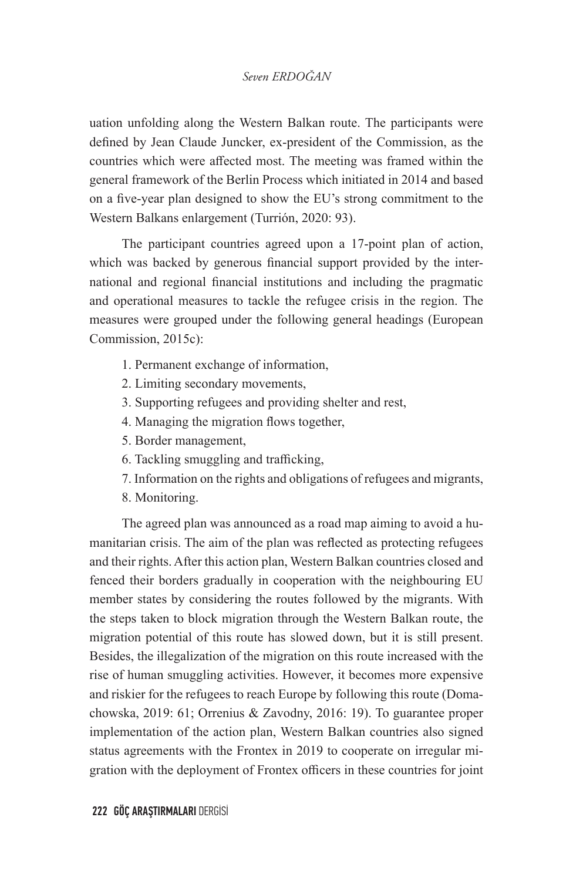uation unfolding along the Western Balkan route. The participants were defined by Jean Claude Juncker, ex-president of the Commission, as the countries which were affected most. The meeting was framed within the general framework of the Berlin Process which initiated in 2014 and based on a five-year plan designed to show the EU's strong commitment to the Western Balkans enlargement (Turrión, 2020: 93).

The participant countries agreed upon a 17-point plan of action, which was backed by generous financial support provided by the international and regional financial institutions and including the pragmatic and operational measures to tackle the refugee crisis in the region. The measures were grouped under the following general headings (European Commission, 2015c):

- 1. Permanent exchange of information,
- 2. Limiting secondary movements,
- 3. Supporting refugees and providing shelter and rest,
- 4. Managing the migration flows together,
- 5. Border management,
- 6. Tackling smuggling and trafficking,
- 7. Information on the rights and obligations of refugees and migrants,
- 8. Monitoring.

The agreed plan was announced as a road map aiming to avoid a humanitarian crisis. The aim of the plan was reflected as protecting refugees and their rights. After this action plan, Western Balkan countries closed and fenced their borders gradually in cooperation with the neighbouring EU member states by considering the routes followed by the migrants. With the steps taken to block migration through the Western Balkan route, the migration potential of this route has slowed down, but it is still present. Besides, the illegalization of the migration on this route increased with the rise of human smuggling activities. However, it becomes more expensive and riskier for the refugees to reach Europe by following this route (Domachowska, 2019: 61; Orrenius & Zavodny, 2016: 19). To guarantee proper implementation of the action plan, Western Balkan countries also signed status agreements with the Frontex in 2019 to cooperate on irregular migration with the deployment of Frontex officers in these countries for joint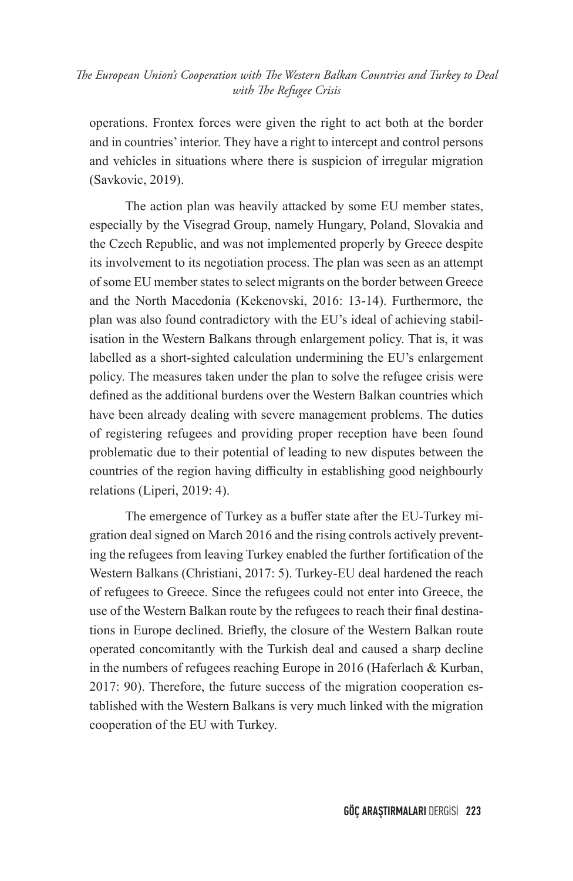operations. Frontex forces were given the right to act both at the border and in countries' interior. They have a right to intercept and control persons and vehicles in situations where there is suspicion of irregular migration (Savkovic, 2019).

The action plan was heavily attacked by some EU member states, especially by the Visegrad Group, namely Hungary, Poland, Slovakia and the Czech Republic, and was not implemented properly by Greece despite its involvement to its negotiation process. The plan was seen as an attempt of some EU member states to select migrants on the border between Greece and the North Macedonia (Kekenovski, 2016: 13-14). Furthermore, the plan was also found contradictory with the EU's ideal of achieving stabilisation in the Western Balkans through enlargement policy. That is, it was labelled as a short-sighted calculation undermining the EU's enlargement policy. The measures taken under the plan to solve the refugee crisis were defined as the additional burdens over the Western Balkan countries which have been already dealing with severe management problems. The duties of registering refugees and providing proper reception have been found problematic due to their potential of leading to new disputes between the countries of the region having difficulty in establishing good neighbourly relations (Liperi, 2019: 4).

The emergence of Turkey as a buffer state after the EU-Turkey migration deal signed on March 2016 and the rising controls actively preventing the refugees from leaving Turkey enabled the further fortification of the Western Balkans (Christiani, 2017: 5). Turkey-EU deal hardened the reach of refugees to Greece. Since the refugees could not enter into Greece, the use of the Western Balkan route by the refugees to reach their final destinations in Europe declined. Briefly, the closure of the Western Balkan route operated concomitantly with the Turkish deal and caused a sharp decline in the numbers of refugees reaching Europe in 2016 (Haferlach & Kurban, 2017: 90). Therefore, the future success of the migration cooperation established with the Western Balkans is very much linked with the migration cooperation of the EU with Turkey.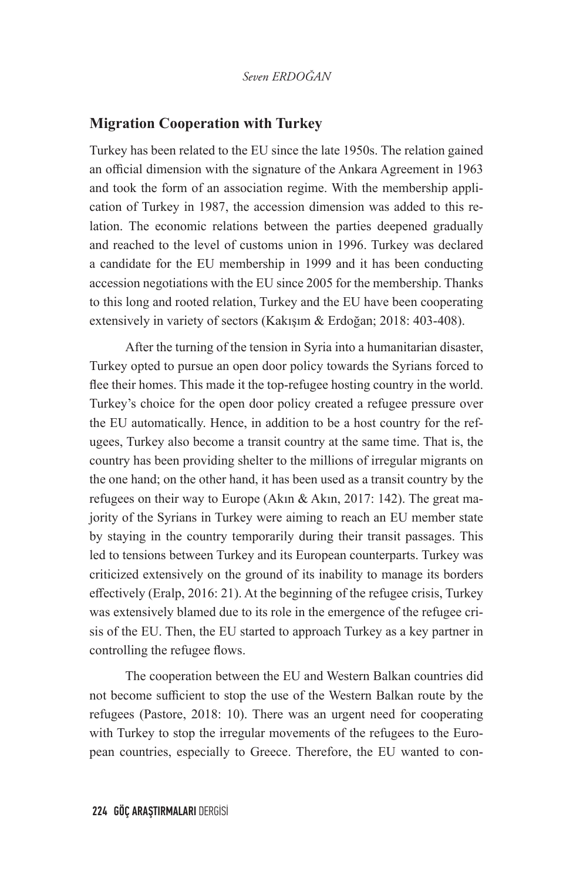#### **Migration Cooperation with Turkey**

Turkey has been related to the EU since the late 1950s. The relation gained an official dimension with the signature of the Ankara Agreement in 1963 and took the form of an association regime. With the membership application of Turkey in 1987, the accession dimension was added to this relation. The economic relations between the parties deepened gradually and reached to the level of customs union in 1996. Turkey was declared a candidate for the EU membership in 1999 and it has been conducting accession negotiations with the EU since 2005 for the membership. Thanks to this long and rooted relation, Turkey and the EU have been cooperating extensively in variety of sectors (Kakışım & Erdoğan; 2018: 403-408).

After the turning of the tension in Syria into a humanitarian disaster, Turkey opted to pursue an open door policy towards the Syrians forced to flee their homes. This made it the top-refugee hosting country in the world. Turkey's choice for the open door policy created a refugee pressure over the EU automatically. Hence, in addition to be a host country for the refugees, Turkey also become a transit country at the same time. That is, the country has been providing shelter to the millions of irregular migrants on the one hand; on the other hand, it has been used as a transit country by the refugees on their way to Europe (Akın & Akın, 2017: 142). The great majority of the Syrians in Turkey were aiming to reach an EU member state by staying in the country temporarily during their transit passages. This led to tensions between Turkey and its European counterparts. Turkey was criticized extensively on the ground of its inability to manage its borders effectively (Eralp, 2016: 21). At the beginning of the refugee crisis, Turkey was extensively blamed due to its role in the emergence of the refugee crisis of the EU. Then, the EU started to approach Turkey as a key partner in controlling the refugee flows.

The cooperation between the EU and Western Balkan countries did not become sufficient to stop the use of the Western Balkan route by the refugees (Pastore, 2018: 10). There was an urgent need for cooperating with Turkey to stop the irregular movements of the refugees to the European countries, especially to Greece. Therefore, the EU wanted to con-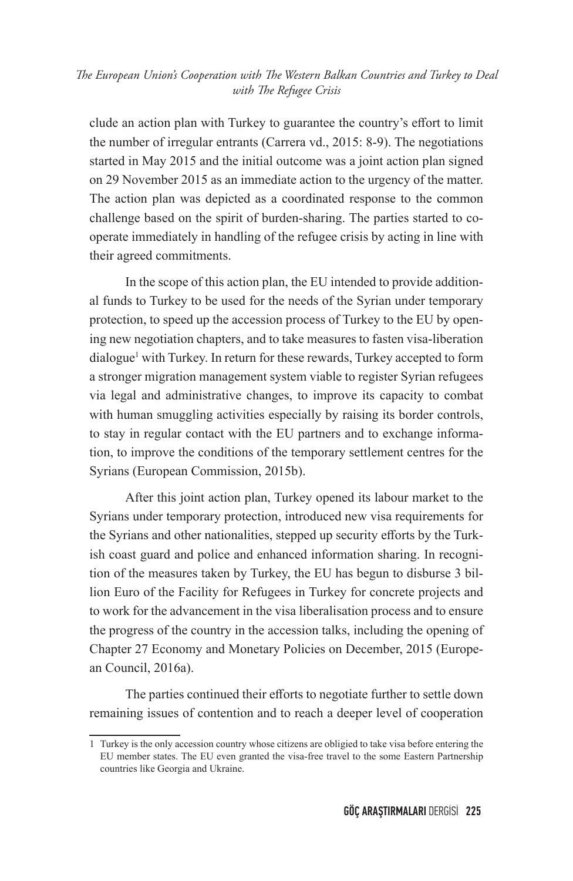clude an action plan with Turkey to guarantee the country's effort to limit the number of irregular entrants (Carrera vd., 2015: 8-9). The negotiations started in May 2015 and the initial outcome was a joint action plan signed on 29 November 2015 as an immediate action to the urgency of the matter. The action plan was depicted as a coordinated response to the common challenge based on the spirit of burden-sharing. The parties started to cooperate immediately in handling of the refugee crisis by acting in line with their agreed commitments.

In the scope of this action plan, the EU intended to provide additional funds to Turkey to be used for the needs of the Syrian under temporary protection, to speed up the accession process of Turkey to the EU by opening new negotiation chapters, and to take measures to fasten visa-liberation dialogue<sup>1</sup> with Turkey. In return for these rewards, Turkey accepted to form a stronger migration management system viable to register Syrian refugees via legal and administrative changes, to improve its capacity to combat with human smuggling activities especially by raising its border controls, to stay in regular contact with the EU partners and to exchange information, to improve the conditions of the temporary settlement centres for the Syrians (European Commission, 2015b).

After this joint action plan, Turkey opened its labour market to the Syrians under temporary protection, introduced new visa requirements for the Syrians and other nationalities, stepped up security efforts by the Turkish coast guard and police and enhanced information sharing. In recognition of the measures taken by Turkey, the EU has begun to disburse 3 billion Euro of the Facility for Refugees in Turkey for concrete projects and to work for the advancement in the visa liberalisation process and to ensure the progress of the country in the accession talks, including the opening of Chapter 27 Economy and Monetary Policies on December, 2015 (European Council, 2016a).

The parties continued their efforts to negotiate further to settle down remaining issues of contention and to reach a deeper level of cooperation

<sup>1</sup> Turkey is the only accession country whose citizens are obligied to take visa before entering the EU member states. The EU even granted the visa-free travel to the some Eastern Partnership countries like Georgia and Ukraine.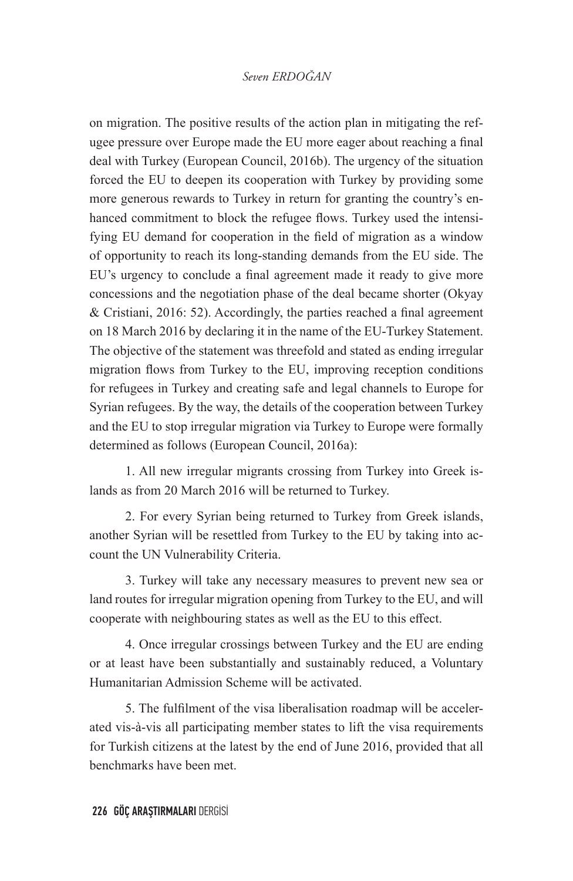on migration. The positive results of the action plan in mitigating the refugee pressure over Europe made the EU more eager about reaching a final deal with Turkey (European Council, 2016b). The urgency of the situation forced the EU to deepen its cooperation with Turkey by providing some more generous rewards to Turkey in return for granting the country's enhanced commitment to block the refugee flows. Turkey used the intensifying EU demand for cooperation in the field of migration as a window of opportunity to reach its long-standing demands from the EU side. The EU's urgency to conclude a final agreement made it ready to give more concessions and the negotiation phase of the deal became shorter (Okyay & Cristiani, 2016: 52). Accordingly, the parties reached a final agreement on 18 March 2016 by declaring it in the name of the EU-Turkey Statement. The objective of the statement was threefold and stated as ending irregular migration flows from Turkey to the EU, improving reception conditions for refugees in Turkey and creating safe and legal channels to Europe for Syrian refugees. By the way, the details of the cooperation between Turkey and the EU to stop irregular migration via Turkey to Europe were formally determined as follows (European Council, 2016a):

1. All new irregular migrants crossing from Turkey into Greek islands as from 20 March 2016 will be returned to Turkey.

2. For every Syrian being returned to Turkey from Greek islands, another Syrian will be resettled from Turkey to the EU by taking into account the UN Vulnerability Criteria.

3. Turkey will take any necessary measures to prevent new sea or land routes for irregular migration opening from Turkey to the EU, and will cooperate with neighbouring states as well as the EU to this effect.

4. Once irregular crossings between Turkey and the EU are ending or at least have been substantially and sustainably reduced, a Voluntary Humanitarian Admission Scheme will be activated.

5. The fulfilment of the visa liberalisation roadmap will be accelerated vis-à-vis all participating member states to lift the visa requirements for Turkish citizens at the latest by the end of June 2016, provided that all benchmarks have been met.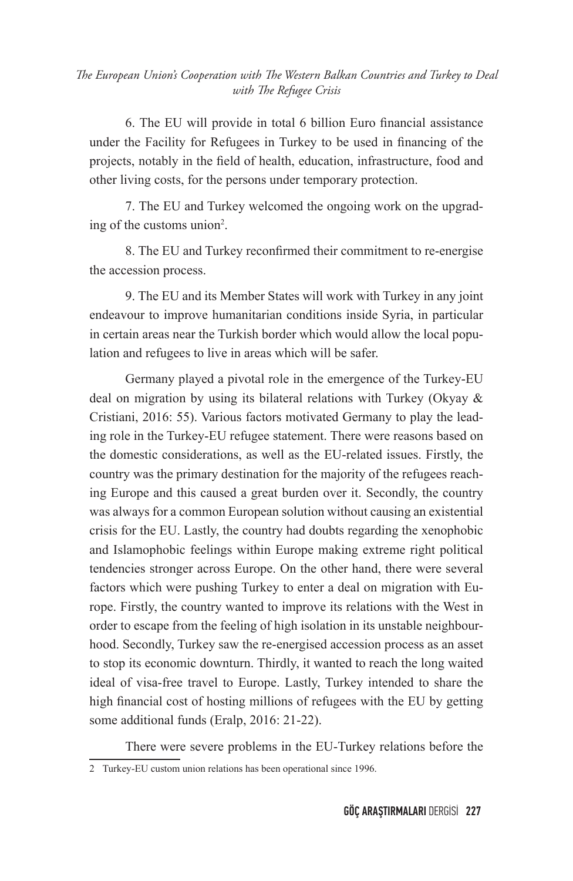6. The EU will provide in total 6 billion Euro financial assistance under the Facility for Refugees in Turkey to be used in financing of the projects, notably in the field of health, education, infrastructure, food and other living costs, for the persons under temporary protection.

7. The EU and Turkey welcomed the ongoing work on the upgrading of the customs union<sup>2</sup>.

8. The EU and Turkey reconfirmed their commitment to re-energise the accession process.

9. The EU and its Member States will work with Turkey in any joint endeavour to improve humanitarian conditions inside Syria, in particular in certain areas near the Turkish border which would allow the local population and refugees to live in areas which will be safer.

Germany played a pivotal role in the emergence of the Turkey-EU deal on migration by using its bilateral relations with Turkey (Okyay & Cristiani, 2016: 55). Various factors motivated Germany to play the leading role in the Turkey-EU refugee statement. There were reasons based on the domestic considerations, as well as the EU-related issues. Firstly, the country was the primary destination for the majority of the refugees reaching Europe and this caused a great burden over it. Secondly, the country was always for a common European solution without causing an existential crisis for the EU. Lastly, the country had doubts regarding the xenophobic and Islamophobic feelings within Europe making extreme right political tendencies stronger across Europe. On the other hand, there were several factors which were pushing Turkey to enter a deal on migration with Europe. Firstly, the country wanted to improve its relations with the West in order to escape from the feeling of high isolation in its unstable neighbourhood. Secondly, Turkey saw the re-energised accession process as an asset to stop its economic downturn. Thirdly, it wanted to reach the long waited ideal of visa-free travel to Europe. Lastly, Turkey intended to share the high financial cost of hosting millions of refugees with the EU by getting some additional funds (Eralp, 2016: 21-22).

There were severe problems in the EU-Turkey relations before the

<sup>2</sup> Turkey-EU custom union relations has been operational since 1996.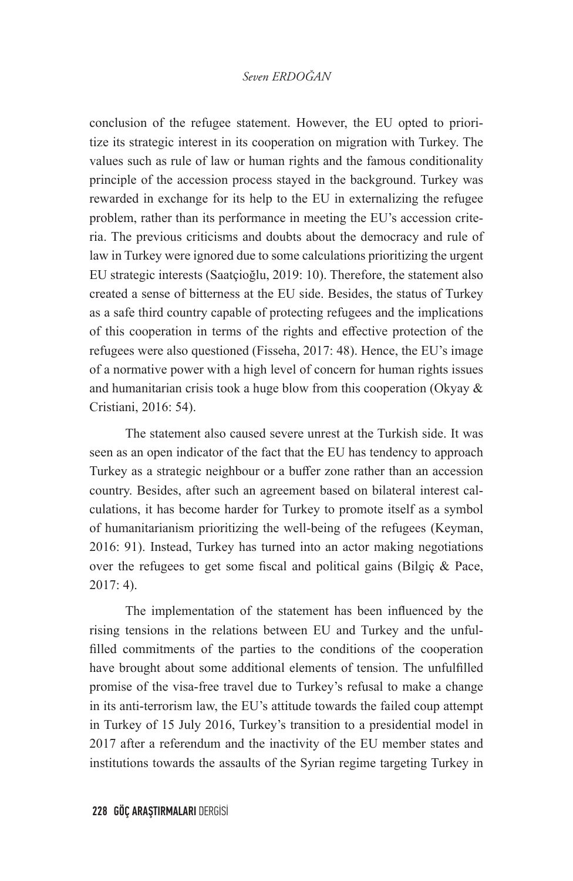conclusion of the refugee statement. However, the EU opted to prioritize its strategic interest in its cooperation on migration with Turkey. The values such as rule of law or human rights and the famous conditionality principle of the accession process stayed in the background. Turkey was rewarded in exchange for its help to the EU in externalizing the refugee problem, rather than its performance in meeting the EU's accession criteria. The previous criticisms and doubts about the democracy and rule of law in Turkey were ignored due to some calculations prioritizing the urgent EU strategic interests (Saatçioğlu, 2019: 10). Therefore, the statement also created a sense of bitterness at the EU side. Besides, the status of Turkey as a safe third country capable of protecting refugees and the implications of this cooperation in terms of the rights and effective protection of the refugees were also questioned (Fisseha, 2017: 48). Hence, the EU's image of a normative power with a high level of concern for human rights issues and humanitarian crisis took a huge blow from this cooperation (Okyay & Cristiani, 2016: 54).

The statement also caused severe unrest at the Turkish side. It was seen as an open indicator of the fact that the EU has tendency to approach Turkey as a strategic neighbour or a buffer zone rather than an accession country. Besides, after such an agreement based on bilateral interest calculations, it has become harder for Turkey to promote itself as a symbol of humanitarianism prioritizing the well-being of the refugees (Keyman, 2016: 91). Instead, Turkey has turned into an actor making negotiations over the refugees to get some fiscal and political gains (Bilgiç & Pace, 2017: 4).

The implementation of the statement has been influenced by the rising tensions in the relations between EU and Turkey and the unfulfilled commitments of the parties to the conditions of the cooperation have brought about some additional elements of tension. The unfulfilled promise of the visa-free travel due to Turkey's refusal to make a change in its anti-terrorism law, the EU's attitude towards the failed coup attempt in Turkey of 15 July 2016, Turkey's transition to a presidential model in 2017 after a referendum and the inactivity of the EU member states and institutions towards the assaults of the Syrian regime targeting Turkey in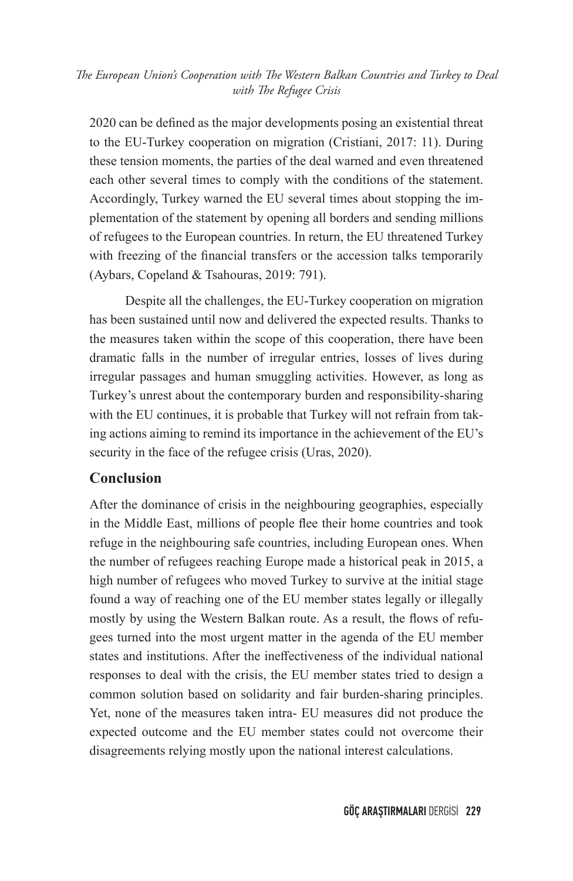2020 can be defined as the major developments posing an existential threat to the EU-Turkey cooperation on migration (Cristiani, 2017: 11). During these tension moments, the parties of the deal warned and even threatened each other several times to comply with the conditions of the statement. Accordingly, Turkey warned the EU several times about stopping the implementation of the statement by opening all borders and sending millions of refugees to the European countries. In return, the EU threatened Turkey with freezing of the financial transfers or the accession talks temporarily (Aybars, Copeland & Tsahouras, 2019: 791).

Despite all the challenges, the EU-Turkey cooperation on migration has been sustained until now and delivered the expected results. Thanks to the measures taken within the scope of this cooperation, there have been dramatic falls in the number of irregular entries, losses of lives during irregular passages and human smuggling activities. However, as long as Turkey's unrest about the contemporary burden and responsibility-sharing with the EU continues, it is probable that Turkey will not refrain from taking actions aiming to remind its importance in the achievement of the EU's security in the face of the refugee crisis (Uras, 2020).

#### **Conclusion**

After the dominance of crisis in the neighbouring geographies, especially in the Middle East, millions of people flee their home countries and took refuge in the neighbouring safe countries, including European ones. When the number of refugees reaching Europe made a historical peak in 2015, a high number of refugees who moved Turkey to survive at the initial stage found a way of reaching one of the EU member states legally or illegally mostly by using the Western Balkan route. As a result, the flows of refugees turned into the most urgent matter in the agenda of the EU member states and institutions. After the ineffectiveness of the individual national responses to deal with the crisis, the EU member states tried to design a common solution based on solidarity and fair burden-sharing principles. Yet, none of the measures taken intra- EU measures did not produce the expected outcome and the EU member states could not overcome their disagreements relying mostly upon the national interest calculations.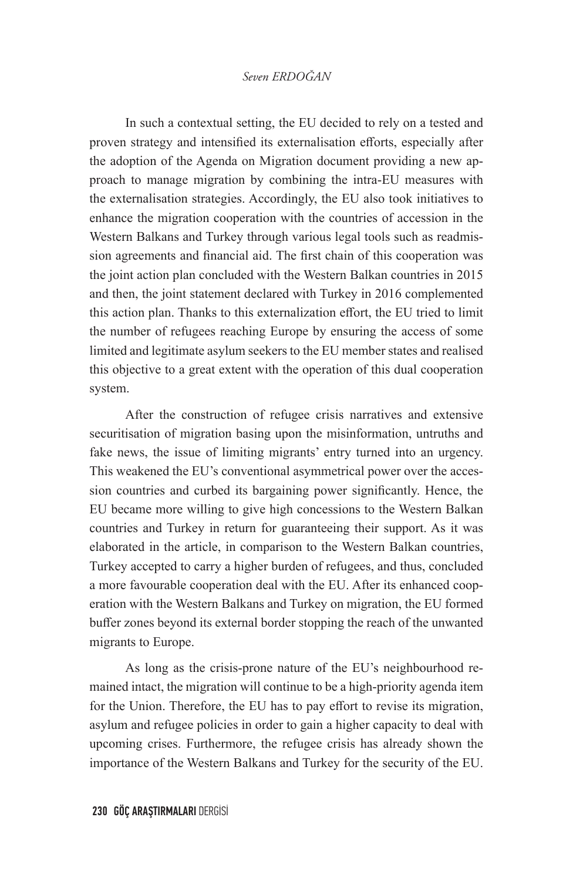In such a contextual setting, the EU decided to rely on a tested and proven strategy and intensified its externalisation efforts, especially after the adoption of the Agenda on Migration document providing a new approach to manage migration by combining the intra-EU measures with the externalisation strategies. Accordingly, the EU also took initiatives to enhance the migration cooperation with the countries of accession in the Western Balkans and Turkey through various legal tools such as readmission agreements and financial aid. The first chain of this cooperation was the joint action plan concluded with the Western Balkan countries in 2015 and then, the joint statement declared with Turkey in 2016 complemented this action plan. Thanks to this externalization effort, the EU tried to limit the number of refugees reaching Europe by ensuring the access of some limited and legitimate asylum seekers to the EU member states and realised this objective to a great extent with the operation of this dual cooperation system.

After the construction of refugee crisis narratives and extensive securitisation of migration basing upon the misinformation, untruths and fake news, the issue of limiting migrants' entry turned into an urgency. This weakened the EU's conventional asymmetrical power over the accession countries and curbed its bargaining power significantly. Hence, the EU became more willing to give high concessions to the Western Balkan countries and Turkey in return for guaranteeing their support. As it was elaborated in the article, in comparison to the Western Balkan countries, Turkey accepted to carry a higher burden of refugees, and thus, concluded a more favourable cooperation deal with the EU. After its enhanced cooperation with the Western Balkans and Turkey on migration, the EU formed buffer zones beyond its external border stopping the reach of the unwanted migrants to Europe.

As long as the crisis-prone nature of the EU's neighbourhood remained intact, the migration will continue to be a high-priority agenda item for the Union. Therefore, the EU has to pay effort to revise its migration, asylum and refugee policies in order to gain a higher capacity to deal with upcoming crises. Furthermore, the refugee crisis has already shown the importance of the Western Balkans and Turkey for the security of the EU.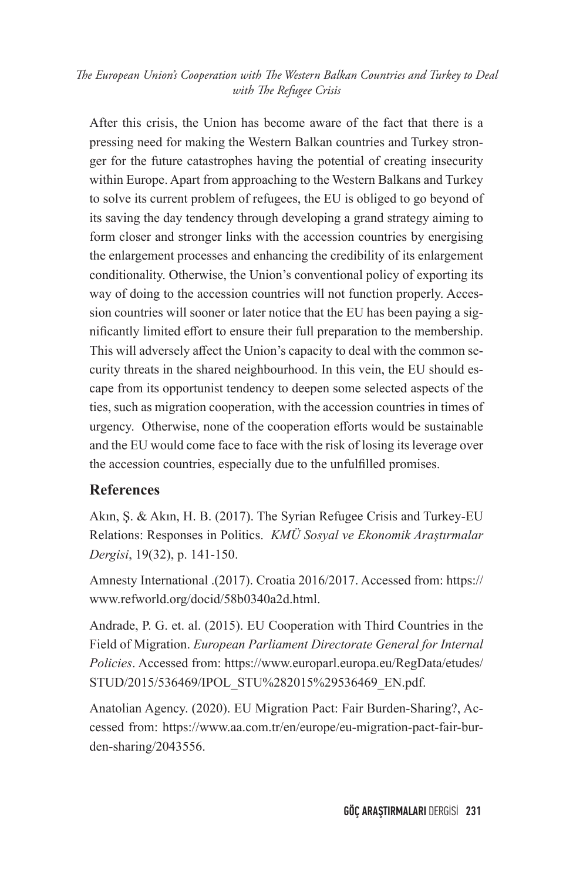After this crisis, the Union has become aware of the fact that there is a pressing need for making the Western Balkan countries and Turkey stronger for the future catastrophes having the potential of creating insecurity within Europe. Apart from approaching to the Western Balkans and Turkey to solve its current problem of refugees, the EU is obliged to go beyond of its saving the day tendency through developing a grand strategy aiming to form closer and stronger links with the accession countries by energising the enlargement processes and enhancing the credibility of its enlargement conditionality. Otherwise, the Union's conventional policy of exporting its way of doing to the accession countries will not function properly. Accession countries will sooner or later notice that the EU has been paying a significantly limited effort to ensure their full preparation to the membership. This will adversely affect the Union's capacity to deal with the common security threats in the shared neighbourhood. In this vein, the EU should escape from its opportunist tendency to deepen some selected aspects of the ties, such as migration cooperation, with the accession countries in times of urgency. Otherwise, none of the cooperation efforts would be sustainable and the EU would come face to face with the risk of losing its leverage over the accession countries, especially due to the unfulfilled promises.

#### **References**

Akın, Ş. & Akın, H. B. (2017). The Syrian Refugee Crisis and Turkey-EU Relations: Responses in Politics. *KMÜ Sosyal ve Ekonomik Araştırmalar Dergisi*, 19(32), p. 141-150.

Amnesty International .(2017). Croatia 2016/2017. Accessed from: https:// www.refworld.org/docid/58b0340a2d.html.

Andrade, P. G. et. al. (2015). EU Cooperation with Third Countries in the Field of Migration. *European Parliament Directorate General for Internal Policies*. Accessed from: https://www.europarl.europa.eu/RegData/etudes/ STUD/2015/536469/IPOL\_STU%282015%29536469\_EN.pdf.

Anatolian Agency. (2020). EU Migration Pact: Fair Burden-Sharing?, Accessed from: https://www.aa.com.tr/en/europe/eu-migration-pact-fair-burden-sharing/2043556.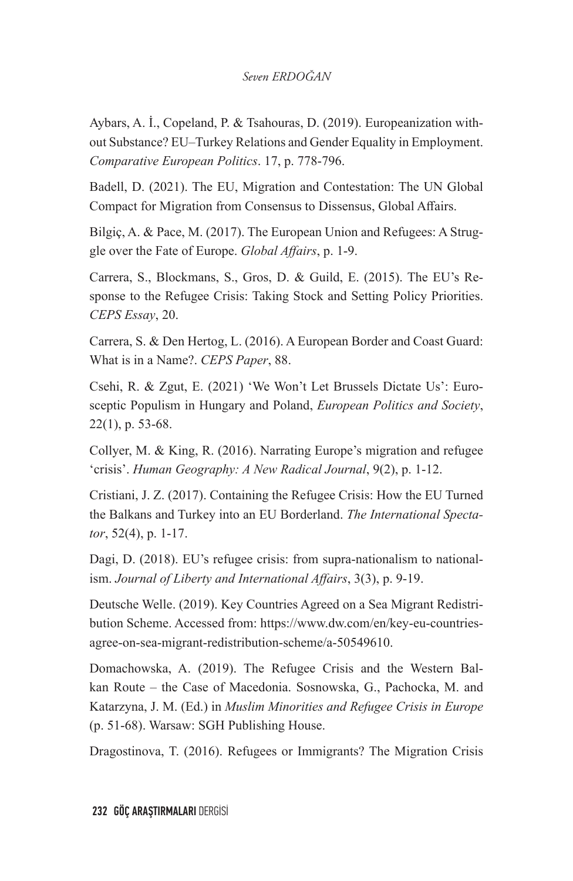Aybars, A. İ., Copeland, P. & Tsahouras, D. (2019). Europeanization without Substance? EU–Turkey Relations and Gender Equality in Employment. *Comparative European Politics*. 17, p. 778-796.

Badell, D. (2021). The EU, Migration and Contestation: The UN Global Compact for Migration from Consensus to Dissensus, Global Affairs.

Bilgiç, A. & Pace, M. (2017). The European Union and Refugees: A Struggle over the Fate of Europe. *Global Affairs*, p. 1-9.

Carrera, S., Blockmans, S., Gros, D. & Guild, E. (2015). The EU's Response to the Refugee Crisis: Taking Stock and Setting Policy Priorities. *CEPS Essay*, 20.

Carrera, S. & Den Hertog, L. (2016). A European Border and Coast Guard: What is in a Name?. *CEPS Paper*, 88.

Csehi, R. & Zgut, E. (2021) 'We Won't Let Brussels Dictate Us': Eurosceptic Populism in Hungary and Poland, *European Politics and Society*, 22(1), p. 53-68.

Collyer, M. & King, R. (2016). Narrating Europe's migration and refugee 'crisis'. *Human Geography: A New Radical Journal*, 9(2), p. 1-12.

Cristiani, J. Z. (2017). Containing the Refugee Crisis: How the EU Turned the Balkans and Turkey into an EU Borderland. *The International Spectator*, 52(4), p. 1-17.

Dagi, D. (2018). EU's refugee crisis: from supra-nationalism to nationalism. *Journal of Liberty and International Affairs*, 3(3), p. 9-19.

Deutsche Welle. (2019). Key Countries Agreed on a Sea Migrant Redistribution Scheme. Accessed from: https://www.dw.com/en/key-eu-countriesagree-on-sea-migrant-redistribution-scheme/a-50549610.

Domachowska, A. (2019). The Refugee Crisis and the Western Balkan Route – the Case of Macedonia. Sosnowska, G., Pachocka, M. and Katarzyna, J. M. (Ed.) in *Muslim Minorities and Refugee Crisis in Europe*  (p. 51-68). Warsaw: SGH Publishing House.

Dragostinova, T. (2016). Refugees or Immigrants? The Migration Crisis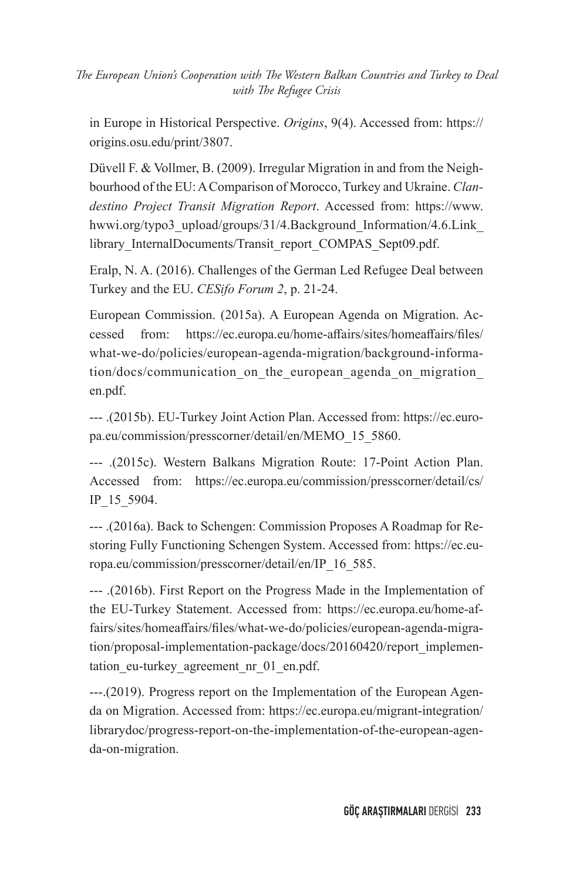in Europe in Historical Perspective. *Origins*, 9(4). Accessed from: https:// origins.osu.edu/print/3807.

Düvell F. & Vollmer, B. (2009). Irregular Migration in and from the Neighbourhood of the EU: A Comparison of Morocco, Turkey and Ukraine. *Clandestino Project Transit Migration Report*. Accessed from: https://www. hwwi.org/typo3\_upload/groups/31/4.Background\_Information/4.6.Link library InternalDocuments/Transit\_report\_COMPAS\_Sept09.pdf.

Eralp, N. A. (2016). Challenges of the German Led Refugee Deal between Turkey and the EU. *CESifo Forum 2*, p. 21-24.

European Commission. (2015a). A European Agenda on Migration. Accessed from: https://ec.europa.eu/home-affairs/sites/homeaffairs/files/ what-we-do/policies/european-agenda-migration/background-information/docs/communication\_on\_the\_european\_agenda\_on\_migration\_ en.pdf.

--- .(2015b). EU-Turkey Joint Action Plan. Accessed from: https://ec.europa.eu/commission/presscorner/detail/en/MEMO\_15\_5860.

--- .(2015c). Western Balkans Migration Route: 17-Point Action Plan. Accessed from: https://ec.europa.eu/commission/presscorner/detail/cs/ IP\_15\_5904.

--- .(2016a). Back to Schengen: Commission Proposes A Roadmap for Restoring Fully Functioning Schengen System. Accessed from: https://ec.europa.eu/commission/presscorner/detail/en/IP\_16\_585.

--- .(2016b). First Report on the Progress Made in the Implementation of the EU-Turkey Statement. Accessed from: https://ec.europa.eu/home-affairs/sites/homeaffairs/files/what-we-do/policies/european-agenda-migration/proposal-implementation-package/docs/20160420/report\_implementation eu-turkey agreement nr 01 en.pdf.

---.(2019). Progress report on the Implementation of the European Agenda on Migration. Accessed from: https://ec.europa.eu/migrant-integration/ librarydoc/progress-report-on-the-implementation-of-the-european-agenda-on-migration.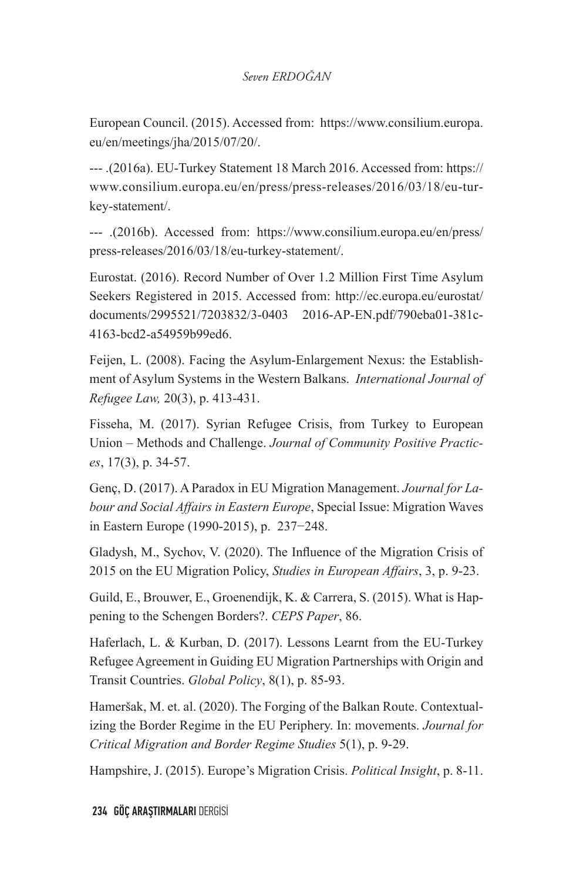European Council. (2015). Accessed from: https://www.consilium.europa. eu/en/meetings/jha/2015/07/20/.

--- .(2016a). EU-Turkey Statement 18 March 2016. Accessed from: https:// www.consilium.europa.eu/en/press/press-releases/2016/03/18/eu-turkey-statement/.

--- .(2016b). Accessed from: https://www.consilium.europa.eu/en/press/ press-releases/2016/03/18/eu-turkey-statement/.

Eurostat. (2016). Record Number of Over 1.2 Million First Time Asylum Seekers Registered in 2015. Accessed from: http://ec.europa.eu/eurostat/ documents/2995521/7203832/3-0403 2016-AP-EN.pdf/790eba01-381c-4163-bcd2-a54959b99ed6.

Feijen, L. (2008). Facing the Asylum-Enlargement Nexus: the Establishment of Asylum Systems in the Western Balkans. *International Journal of Refugee Law,* 20(3), p. 413-431.

Fisseha, M. (2017). Syrian Refugee Crisis, from Turkey to European Union – Methods and Challenge. *Journal of Community Positive Practices*, 17(3), p. 34-57.

Genç, D. (2017). A Paradox in EU Migration Management. *Journal for Labour and Social Affairs in Eastern Europe*, Special Issue: Migration Waves in Eastern Europe (1990-2015), p. 237−248.

Gladysh, M., Sychov, V. (2020). The Influence of the Migration Crisis of 2015 on the EU Migration Policy, *Studies in European Affairs*, 3, p. 9-23.

Guild, E., Brouwer, E., Groenendijk, K. & Carrera, S. (2015). What is Happening to the Schengen Borders?. *CEPS Paper*, 86.

Haferlach, L. & Kurban, D. (2017). Lessons Learnt from the EU-Turkey Refugee Agreement in Guiding EU Migration Partnerships with Origin and Transit Countries. *Global Policy*, 8(1), p. 85-93.

Hameršak, M. et. al. (2020). The Forging of the Balkan Route. Contextualizing the Border Regime in the EU Periphery. In: movements. *Journal for Critical Migration and Border Regime Studies* 5(1), p. 9-29.

Hampshire, J. (2015). Europe's Migration Crisis. *Political Insight*, p. 8-11.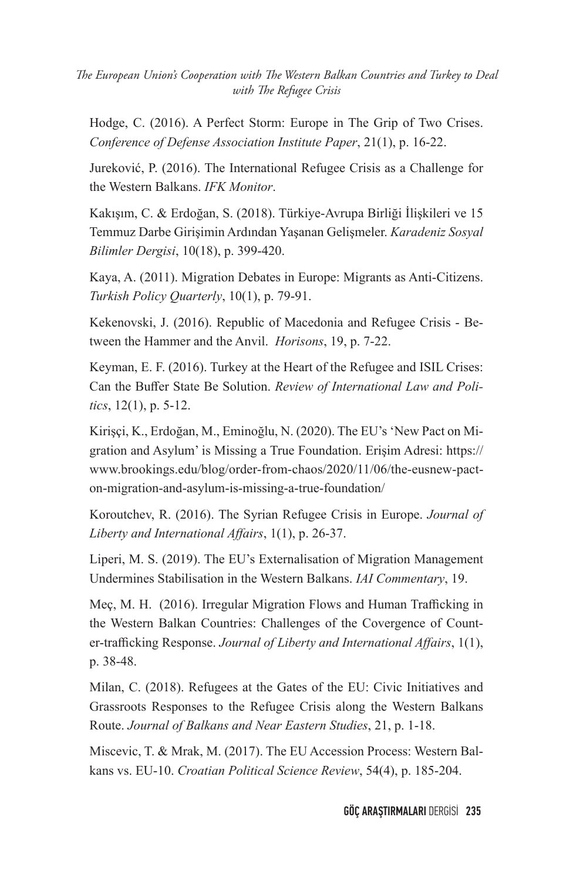Hodge, C. (2016). A Perfect Storm: Europe in The Grip of Two Crises. *Conference of Defense Association Institute Paper*, 21(1), p. 16-22.

Jureković, P. (2016). The International Refugee Crisis as a Challenge for the Western Balkans. *IFK Monitor*.

Kakışım, C. & Erdoğan, S. (2018). Türkiye-Avrupa Birliği İlişkileri ve 15 Temmuz Darbe Girişimin Ardından Yaşanan Gelişmeler. *Karadeniz Sosyal Bilimler Dergisi*, 10(18), p. 399-420.

Kaya, A. (2011). Migration Debates in Europe: Migrants as Anti-Citizens. *Turkish Policy Quarterly*, 10(1), p. 79-91.

Kekenovski, J. (2016). Republic of Macedonia and Refugee Crisis - Between the Hammer and the Anvil. *Horisons*, 19, p. 7-22.

Keyman, E. F. (2016). Turkey at the Heart of the Refugee and ISIL Crises: Can the Buffer State Be Solution. *Review of International Law and Politics*, 12(1), p. 5-12.

Kirişçi, K., Erdoğan, M., Eminoğlu, N. (2020). The EU's 'New Pact on Migration and Asylum' is Missing a True Foundation. Erişim Adresi: https:// www.brookings.edu/blog/order-from-chaos/2020/11/06/the-eusnew-pacton-migration-and-asylum-is-missing-a-true-foundation/

Koroutchev, R. (2016). The Syrian Refugee Crisis in Europe. *Journal of Liberty and International Affairs*, 1(1), p. 26-37.

Liperi, M. S. (2019). The EU's Externalisation of Migration Management Undermines Stabilisation in the Western Balkans. *IAI Commentary*, 19.

Meç, M. H. (2016). Irregular Migration Flows and Human Trafficking in the Western Balkan Countries: Challenges of the Covergence of Counter-trafficking Response. *Journal of Liberty and International Affairs*, 1(1), p. 38-48.

Milan, C. (2018). Refugees at the Gates of the EU: Civic Initiatives and Grassroots Responses to the Refugee Crisis along the Western Balkans Route. *Journal of Balkans and Near Eastern Studies*, 21, p. 1-18.

Miscevic, T. & Mrak, M. (2017). The EU Accession Process: Western Balkans vs. EU-10. *Croatian Political Science Review*, 54(4), p. 185-204.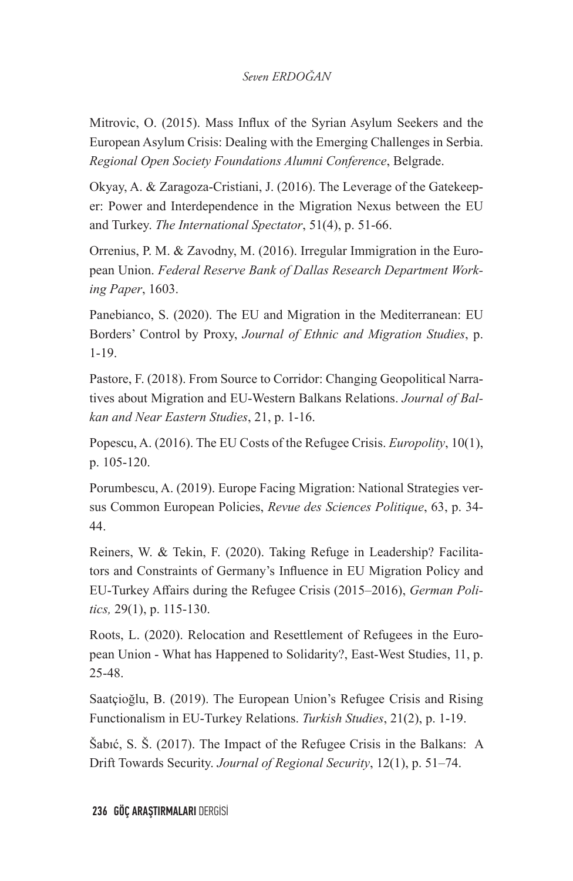Mitrovic, O. (2015). Mass Influx of the Syrian Asylum Seekers and the European Asylum Crisis: Dealing with the Emerging Challenges in Serbia. *Regional Open Society Foundations Alumni Conference*, Belgrade.

Okyay, A. & Zaragoza-Cristiani, J. (2016). The Leverage of the Gatekeeper: Power and Interdependence in the Migration Nexus between the EU and Turkey. *The International Spectator*, 51(4), p. 51-66.

Orrenius, P. M. & Zavodny, M. (2016). Irregular Immigration in the European Union. *Federal Reserve Bank of Dallas Research Department Working Paper*, 1603.

Panebianco, S. (2020). The EU and Migration in the Mediterranean: EU Borders' Control by Proxy, *Journal of Ethnic and Migration Studies*, p. 1-19.

Pastore, F. (2018). From Source to Corridor: Changing Geopolitical Narratives about Migration and EU-Western Balkans Relations. *Journal of Balkan and Near Eastern Studies*, 21, p. 1-16.

Popescu, A. (2016). The EU Costs of the Refugee Crisis. *Europolity*, 10(1), p. 105-120.

Porumbescu, A. (2019). Europe Facing Migration: National Strategies versus Common European Policies, *Revue des Sciences Politique*, 63, p. 34- 44.

Reiners, W. & Tekin, F. (2020). Taking Refuge in Leadership? Facilitators and Constraints of Germany's Influence in EU Migration Policy and EU-Turkey Affairs during the Refugee Crisis (2015–2016), *German Politics,* 29(1), p. 115-130.

Roots, L. (2020). Relocation and Resettlement of Refugees in the European Union - What has Happened to Solidarity?, East-West Studies, 11, p. 25-48.

Saatçioğlu, B. (2019). The European Union's Refugee Crisis and Rising Functionalism in EU-Turkey Relations. *Turkish Studies*, 21(2), p. 1-19.

Šabıć, S. Š. (2017). The Impact of the Refugee Crisis in the Balkans: A Drift Towards Security. *Journal of Regional Security*, 12(1), p. 51–74.